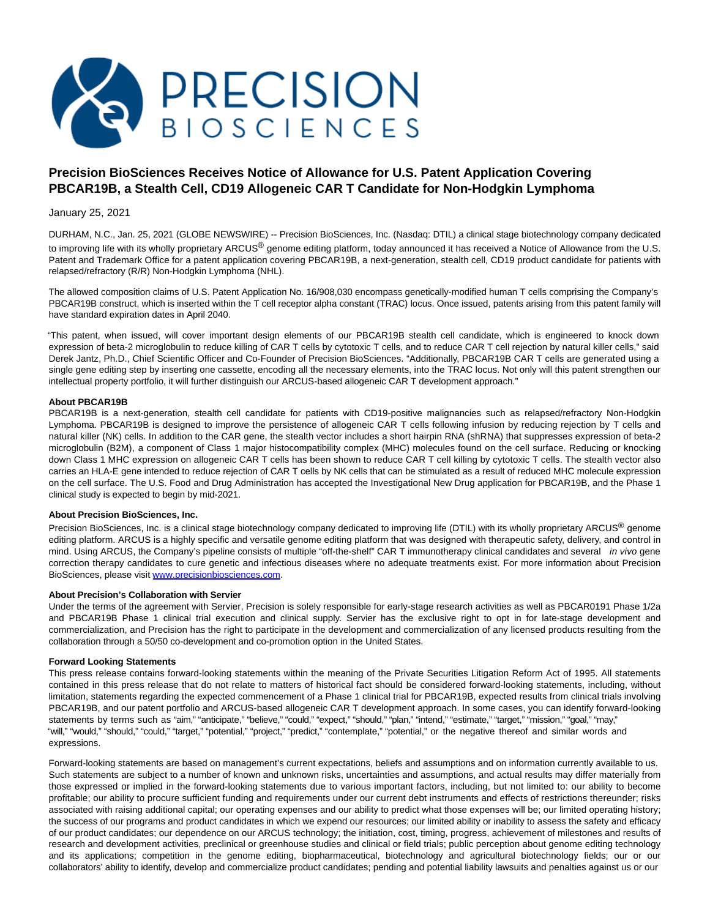

# **Precision BioSciences Receives Notice of Allowance for U.S. Patent Application Covering PBCAR19B, a Stealth Cell, CD19 Allogeneic CAR T Candidate for Non-Hodgkin Lymphoma**

## January 25, 2021

DURHAM, N.C., Jan. 25, 2021 (GLOBE NEWSWIRE) -- Precision BioSciences, Inc. (Nasdaq: DTIL) a clinical stage biotechnology company dedicated to improving life with its wholly proprietary ARCUS<sup>®</sup> genome editing platform, today announced it has received a Notice of Allowance from the U.S. Patent and Trademark Office for a patent application covering PBCAR19B, a next-generation, stealth cell, CD19 product candidate for patients with relapsed/refractory (R/R) Non-Hodgkin Lymphoma (NHL).

The allowed composition claims of U.S. Patent Application No. 16/908,030 encompass genetically-modified human T cells comprising the Company's PBCAR19B construct, which is inserted within the T cell receptor alpha constant (TRAC) locus. Once issued, patents arising from this patent family will have standard expiration dates in April 2040.

"This patent, when issued, will cover important design elements of our PBCAR19B stealth cell candidate, which is engineered to knock down expression of beta-2 microglobulin to reduce killing of CAR T cells by cytotoxic T cells, and to reduce CAR T cell rejection by natural killer cells," said Derek Jantz, Ph.D., Chief Scientific Officer and Co-Founder of Precision BioSciences. "Additionally, PBCAR19B CAR T cells are generated using a single gene editing step by inserting one cassette, encoding all the necessary elements, into the TRAC locus. Not only will this patent strengthen our intellectual property portfolio, it will further distinguish our ARCUS-based allogeneic CAR T development approach."

### **About PBCAR19B**

PBCAR19B is a next-generation, stealth cell candidate for patients with CD19-positive malignancies such as relapsed/refractory Non-Hodgkin Lymphoma. PBCAR19B is designed to improve the persistence of allogeneic CAR T cells following infusion by reducing rejection by T cells and natural killer (NK) cells. In addition to the CAR gene, the stealth vector includes a short hairpin RNA (shRNA) that suppresses expression of beta-2 microglobulin (B2M), a component of Class 1 major histocompatibility complex (MHC) molecules found on the cell surface. Reducing or knocking down Class 1 MHC expression on allogeneic CAR T cells has been shown to reduce CAR T cell killing by cytotoxic T cells. The stealth vector also carries an HLA-E gene intended to reduce rejection of CAR T cells by NK cells that can be stimulated as a result of reduced MHC molecule expression on the cell surface. The U.S. Food and Drug Administration has accepted the Investigational New Drug application for PBCAR19B, and the Phase 1 clinical study is expected to begin by mid-2021.

## **About Precision BioSciences, Inc.**

Precision BioSciences, Inc. is a clinical stage biotechnology company dedicated to improving life (DTIL) with its wholly proprietary ARCUS<sup>®</sup> genome editing platform. ARCUS is a highly specific and versatile genome editing platform that was designed with therapeutic safety, delivery, and control in mind. Using ARCUS, the Company's pipeline consists of multiple "off-the-shelf" CAR T immunotherapy clinical candidates and several *in vivo* gene correction therapy candidates to cure genetic and infectious diseases where no adequate treatments exist. For more information about Precision BioSciences, please visit [www.precisionbiosciences.com.](https://www.globenewswire.com/Tracker?data=rMIhxLnaAtNfMMS3O2TPHTl2sOuToTlPDuTuGQlUsr2SPD8_QVZts2y5Nxy2vzYWc3elL1ZJQC3pRDsJ56EqPLEUJIw61rRHsqjVvsW7EK2B7No9oDRL4635v2oJZ44T)

### **About Precision's Collaboration with Servier**

Under the terms of the agreement with Servier, Precision is solely responsible for early-stage research activities as well as PBCAR0191 Phase 1/2a and PBCAR19B Phase 1 clinical trial execution and clinical supply. Servier has the exclusive right to opt in for late-stage development and commercialization, and Precision has the right to participate in the development and commercialization of any licensed products resulting from the collaboration through a 50/50 co-development and co-promotion option in the United States.

#### **Forward Looking Statements**

This press release contains forward-looking statements within the meaning of the Private Securities Litigation Reform Act of 1995. All statements contained in this press release that do not relate to matters of historical fact should be considered forward-looking statements, including, without limitation, statements regarding the expected commencement of a Phase 1 clinical trial for PBCAR19B, expected results from clinical trials involving PBCAR19B, and our patent portfolio and ARCUS-based allogeneic CAR T development approach. In some cases, you can identify forward-looking statements by terms such as "aim," "anticipate," "believe," "could," "expect," "should," "plan," "intend," "estimate," "target," "mission," "goal," "may," "will," "would," "should," "could," "target," "potential," "project," "predict," "contemplate," "potential," or the negative thereof and similar words and expressions.

Forward-looking statements are based on management's current expectations, beliefs and assumptions and on information currently available to us. Such statements are subject to a number of known and unknown risks, uncertainties and assumptions, and actual results may differ materially from those expressed or implied in the forward-looking statements due to various important factors, including, but not limited to: our ability to become profitable; our ability to procure sufficient funding and requirements under our current debt instruments and effects of restrictions thereunder; risks associated with raising additional capital; our operating expenses and our ability to predict what those expenses will be; our limited operating history; the success of our programs and product candidates in which we expend our resources; our limited ability or inability to assess the safety and efficacy of our product candidates; our dependence on our ARCUS technology; the initiation, cost, timing, progress, achievement of milestones and results of research and development activities, preclinical or greenhouse studies and clinical or field trials; public perception about genome editing technology and its applications; competition in the genome editing, biopharmaceutical, biotechnology and agricultural biotechnology fields; our or our collaborators' ability to identify, develop and commercialize product candidates; pending and potential liability lawsuits and penalties against us or our